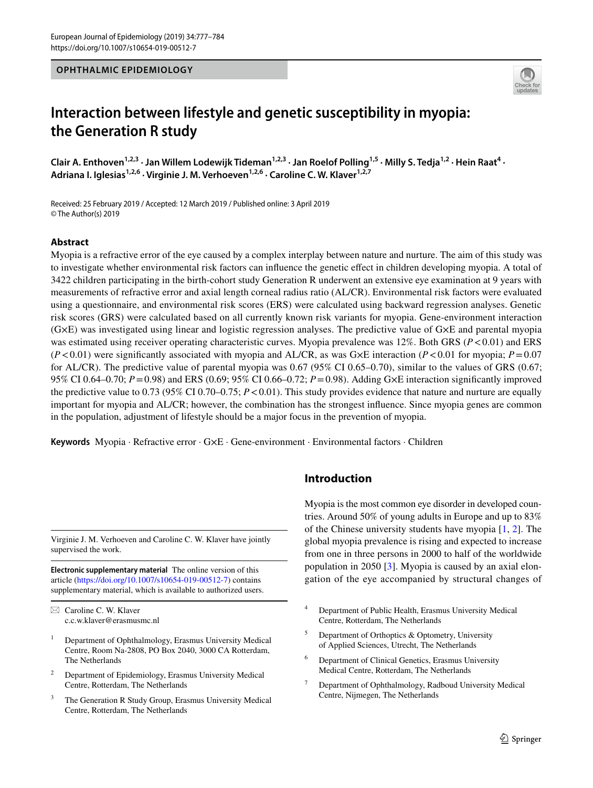### **OPHTHALMIC EPIDEMIOLOGY**



# **Interaction between lifestyle and genetic susceptibility in myopia: the Generation R study**

Clair A. Enthoven<sup>1,2,3</sup> · Jan Willem Lodewijk Tideman<sup>1,2,3</sup> · Jan Roelof Polling<sup>1,5</sup> · Milly S. Tedja<sup>1,2</sup> · Hein Raat<sup>4</sup> · Adriana I. Iglesias<sup>1,2,6</sup> · Virginie J. M. Verhoeven<sup>1,2,6</sup> · Caroline C. W. Klaver<sup>1,2,7</sup>

Received: 25 February 2019 / Accepted: 12 March 2019 / Published online: 3 April 2019 © The Author(s) 2019

## **Abstract**

Myopia is a refractive error of the eye caused by a complex interplay between nature and nurture. The aim of this study was to investigate whether environmental risk factors can infuence the genetic efect in children developing myopia. A total of 3422 children participating in the birth-cohort study Generation R underwent an extensive eye examination at 9 years with measurements of refractive error and axial length corneal radius ratio (AL/CR). Environmental risk factors were evaluated using a questionnaire, and environmental risk scores (ERS) were calculated using backward regression analyses. Genetic risk scores (GRS) were calculated based on all currently known risk variants for myopia. Gene-environment interaction (G×E) was investigated using linear and logistic regression analyses. The predictive value of G×E and parental myopia was estimated using receiver operating characteristic curves. Myopia prevalence was 12%. Both GRS (*P* < 0.01) and ERS (*P*<0.01) were signifcantly associated with myopia and AL/CR, as was G×E interaction (*P*<0.01 for myopia; *P*=0.07 for AL/CR). The predictive value of parental myopia was 0.67 (95% CI 0.65–0.70), similar to the values of GRS (0.67; 95% CI 0.64–0.70; *P*=0.98) and ERS (0.69; 95% CI 0.66–0.72; *P*=0.98). Adding G×E interaction signifcantly improved the predictive value to 0.73 (95% CI 0.70–0.75;  $P < 0.01$ ). This study provides evidence that nature and nurture are equally important for myopia and AL/CR; however, the combination has the strongest infuence. Since myopia genes are common in the population, adjustment of lifestyle should be a major focus in the prevention of myopia.

**Keywords** Myopia · Refractive error · G×E · Gene-environment · Environmental factors · Children

Virginie J. M. Verhoeven and Caroline C. W. Klaver have jointly supervised the work.

**Electronic supplementary material** The online version of this article [\(https://doi.org/10.1007/s10654-019-00512-7\)](https://doi.org/10.1007/s10654-019-00512-7) contains supplementary material, which is available to authorized users.

- <sup>1</sup> Department of Ophthalmology, Erasmus University Medical Centre, Room Na-2808, PO Box 2040, 3000 CA Rotterdam, The Netherlands
- <sup>2</sup> Department of Epidemiology, Erasmus University Medical Centre, Rotterdam, The Netherlands
- The Generation R Study Group, Erasmus University Medical Centre, Rotterdam, The Netherlands

# **Introduction**

Myopia is the most common eye disorder in developed countries. Around 50% of young adults in Europe and up to 83% of the Chinese university students have myopia [\[1](#page-6-0), [2\]](#page-6-1). The global myopia prevalence is rising and expected to increase from one in three persons in 2000 to half of the worldwide population in 2050 [[3](#page-6-2)]. Myopia is caused by an axial elongation of the eye accompanied by structural changes of

- <sup>4</sup> Department of Public Health, Erasmus University Medical Centre, Rotterdam, The Netherlands
- $5$  Department of Orthoptics & Optometry, University of Applied Sciences, Utrecht, The Netherlands
- <sup>6</sup> Department of Clinical Genetics, Erasmus University Medical Centre, Rotterdam, The Netherlands
- <sup>7</sup> Department of Ophthalmology, Radboud University Medical Centre, Nijmegen, The Netherlands

 $\boxtimes$  Caroline C. W. Klaver c.c.w.klaver@erasmusmc.nl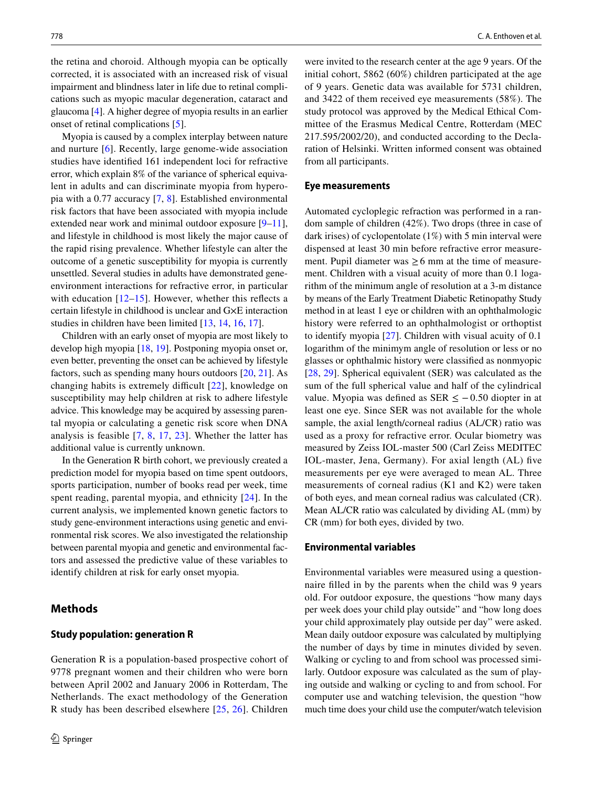the retina and choroid. Although myopia can be optically corrected, it is associated with an increased risk of visual impairment and blindness later in life due to retinal complications such as myopic macular degeneration, cataract and glaucoma [[4\]](#page-6-3). A higher degree of myopia results in an earlier onset of retinal complications [\[5](#page-6-4)].

Myopia is caused by a complex interplay between nature and nurture [\[6\]](#page-6-5). Recently, large genome-wide association studies have identifed 161 independent loci for refractive error, which explain 8% of the variance of spherical equivalent in adults and can discriminate myopia from hyperopia with a 0.77 accuracy [\[7](#page-6-6), [8\]](#page-6-7). Established environmental risk factors that have been associated with myopia include extended near work and minimal outdoor exposure [\[9](#page-6-8)[–11](#page-6-9)], and lifestyle in childhood is most likely the major cause of the rapid rising prevalence. Whether lifestyle can alter the outcome of a genetic susceptibility for myopia is currently unsettled. Several studies in adults have demonstrated geneenvironment interactions for refractive error, in particular with education  $[12–15]$  $[12–15]$  $[12–15]$  $[12–15]$ . However, whether this reflects a certain lifestyle in childhood is unclear and G×E interaction studies in children have been limited [\[13](#page-6-12), [14](#page-6-13), [16](#page-6-14), [17](#page-7-0)].

Children with an early onset of myopia are most likely to develop high myopia [\[18](#page-7-1), [19](#page-7-2)]. Postponing myopia onset or, even better, preventing the onset can be achieved by lifestyle factors, such as spending many hours outdoors [\[20,](#page-7-3) [21\]](#page-7-4). As changing habits is extremely difficult  $[22]$  $[22]$  $[22]$ , knowledge on susceptibility may help children at risk to adhere lifestyle advice. This knowledge may be acquired by assessing parental myopia or calculating a genetic risk score when DNA analysis is feasible [[7](#page-6-6), [8](#page-6-7), [17,](#page-7-0) [23\]](#page-7-6). Whether the latter has additional value is currently unknown.

In the Generation R birth cohort, we previously created a prediction model for myopia based on time spent outdoors, sports participation, number of books read per week, time spent reading, parental myopia, and ethnicity [[24\]](#page-7-7). In the current analysis, we implemented known genetic factors to study gene-environment interactions using genetic and environmental risk scores. We also investigated the relationship between parental myopia and genetic and environmental factors and assessed the predictive value of these variables to identify children at risk for early onset myopia.

## **Methods**

#### **Study population: generation R**

Generation R is a population-based prospective cohort of 9778 pregnant women and their children who were born between April 2002 and January 2006 in Rotterdam, The Netherlands. The exact methodology of the Generation R study has been described elsewhere [\[25,](#page-7-8) [26\]](#page-7-9). Children

were invited to the research center at the age 9 years. Of the initial cohort, 5862 (60%) children participated at the age of 9 years. Genetic data was available for 5731 children, and 3422 of them received eye measurements (58%). The study protocol was approved by the Medical Ethical Committee of the Erasmus Medical Centre, Rotterdam (MEC 217.595/2002/20), and conducted according to the Declaration of Helsinki. Written informed consent was obtained from all participants.

#### **Eye measurements**

Automated cycloplegic refraction was performed in a random sample of children (42%). Two drops (three in case of dark irises) of cyclopentolate (1%) with 5 min interval were dispensed at least 30 min before refractive error measurement. Pupil diameter was  $\geq 6$  mm at the time of measurement. Children with a visual acuity of more than 0.1 logarithm of the minimum angle of resolution at a 3-m distance by means of the Early Treatment Diabetic Retinopathy Study method in at least 1 eye or children with an ophthalmologic history were referred to an ophthalmologist or orthoptist to identify myopia [\[27\]](#page-7-10). Children with visual acuity of 0.1 logarithm of the minimym angle of resolution or less or no glasses or ophthalmic history were classifed as nonmyopic [[28,](#page-7-11) [29](#page-7-12)]. Spherical equivalent (SER) was calculated as the sum of the full spherical value and half of the cylindrical value. Myopia was defined as SER  $≤$  -0.50 diopter in at least one eye. Since SER was not available for the whole sample, the axial length/corneal radius (AL/CR) ratio was used as a proxy for refractive error. Ocular biometry was measured by Zeiss IOL-master 500 (Carl Zeiss MEDITEC IOL-master, Jena, Germany). For axial length (AL) fve measurements per eye were averaged to mean AL. Three measurements of corneal radius (K1 and K2) were taken of both eyes, and mean corneal radius was calculated (CR). Mean AL/CR ratio was calculated by dividing AL (mm) by CR (mm) for both eyes, divided by two.

#### **Environmental variables**

Environmental variables were measured using a questionnaire flled in by the parents when the child was 9 years old. For outdoor exposure, the questions "how many days per week does your child play outside" and "how long does your child approximately play outside per day" were asked. Mean daily outdoor exposure was calculated by multiplying the number of days by time in minutes divided by seven. Walking or cycling to and from school was processed similarly. Outdoor exposure was calculated as the sum of playing outside and walking or cycling to and from school. For computer use and watching television, the question "how much time does your child use the computer/watch television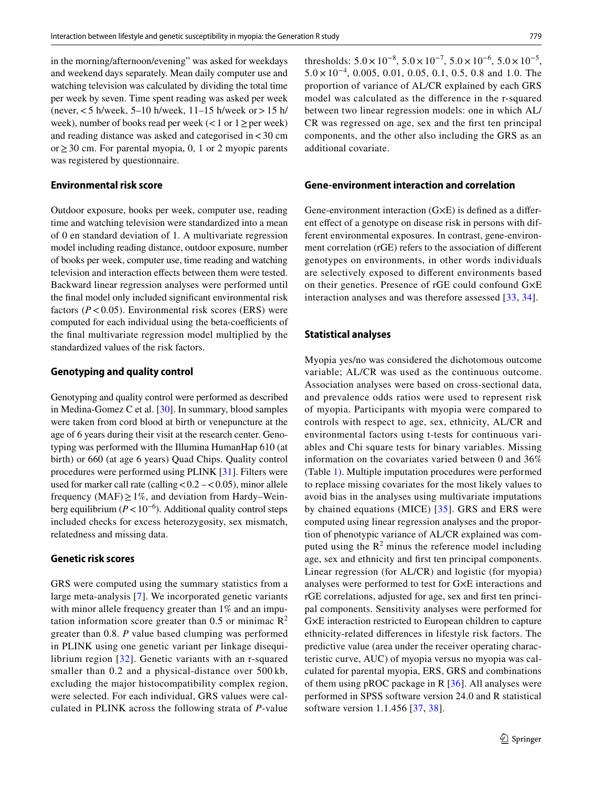in the morning/afternoon/evening" was asked for weekdays and weekend days separately. Mean daily computer use and watching television was calculated by dividing the total time per week by seven. Time spent reading was asked per week (never,<5 h/week, 5–10 h/week, 11–15 h/week or>15 h/ week), number of books read per week (<1 or  $1 \geq$  per week) and reading distance was asked and categorised in  $<$  30 cm or≥30 cm. For parental myopia, 0, 1 or 2 myopic parents was registered by questionnaire.

### **Environmental risk score**

Outdoor exposure, books per week, computer use, reading time and watching television were standardized into a mean of 0 en standard deviation of 1. A multivariate regression model including reading distance, outdoor exposure, number of books per week, computer use, time reading and watching television and interaction effects between them were tested. Backward linear regression analyses were performed until the fnal model only included signifcant environmental risk factors  $(P < 0.05)$ . Environmental risk scores (ERS) were computed for each individual using the beta-coefficients of the fnal multivariate regression model multiplied by the standardized values of the risk factors.

#### **Genotyping and quality control**

Genotyping and quality control were performed as described in Medina-Gomez C et al. [[30\]](#page-7-13). In summary, blood samples were taken from cord blood at birth or venepuncture at the age of 6 years during their visit at the research center. Genotyping was performed with the Illumina HumanHap 610 (at birth) or 660 (at age 6 years) Quad Chips. Quality control procedures were performed using PLINK [\[31](#page-7-14)]. Filters were used for marker call rate (calling  $< 0.2 - < 0.05$ ), minor allele frequency (MAF) $\geq$ 1%, and deviation from Hardy–Weinberg equilibrium  $(P < 10^{-6})$ . Additional quality control steps included checks for excess heterozygosity, sex mismatch, relatedness and missing data.

### **Genetic risk scores**

GRS were computed using the summary statistics from a large meta-analysis [[7\]](#page-6-6). We incorporated genetic variants with minor allele frequency greater than 1% and an imputation information score greater than 0.5 or minimac  $\mathbb{R}^2$ greater than 0.8. *P* value based clumping was performed in PLINK using one genetic variant per linkage disequilibrium region [[32\]](#page-7-15). Genetic variants with an r-squared smaller than 0.2 and a physical-distance over 500 kb, excluding the major histocompatibility complex region, were selected. For each individual, GRS values were calculated in PLINK across the following strata of *P*-value thresholds:  $5.0 \times 10^{-8}$ ,  $5.0 \times 10^{-7}$ ,  $5.0 \times 10^{-6}$ ,  $5.0 \times 10^{-5}$ ,  $5.0 \times 10^{-4}$ , 0.005, 0.01, 0.05, 0.1, 0.5, 0.8 and 1.0. The proportion of variance of AL/CR explained by each GRS model was calculated as the diference in the r-squared between two linear regression models: one in which AL/ CR was regressed on age, sex and the frst ten principal components, and the other also including the GRS as an additional covariate.

## **Gene‑environment interaction and correlation**

Gene-environment interaction (G×E) is defned as a diferent efect of a genotype on disease risk in persons with different environmental exposures. In contrast, gene-environment correlation (rGE) refers to the association of diferent genotypes on environments, in other words individuals are selectively exposed to diferent environments based on their genetics. Presence of rGE could confound G×E interaction analyses and was therefore assessed [[33](#page-7-16), [34\]](#page-7-17).

#### **Statistical analyses**

Myopia yes/no was considered the dichotomous outcome variable; AL/CR was used as the continuous outcome. Association analyses were based on cross-sectional data, and prevalence odds ratios were used to represent risk of myopia. Participants with myopia were compared to controls with respect to age, sex, ethnicity, AL/CR and environmental factors using t-tests for continuous variables and Chi square tests for binary variables. Missing information on the covariates varied between 0 and 36% (Table [1\)](#page-3-0). Multiple imputation procedures were performed to replace missing covariates for the most likely values to avoid bias in the analyses using multivariate imputations by chained equations (MICE) [[35](#page-7-18)]. GRS and ERS were computed using linear regression analyses and the proportion of phenotypic variance of AL/CR explained was computed using the  $R^2$  minus the reference model including age, sex and ethnicity and frst ten principal components. Linear regression (for AL/CR) and logistic (for myopia) analyses were performed to test for G×E interactions and rGE correlations, adjusted for age, sex and frst ten principal components. Sensitivity analyses were performed for G×E interaction restricted to European children to capture ethnicity-related diferences in lifestyle risk factors. The predictive value (area under the receiver operating characteristic curve, AUC) of myopia versus no myopia was calculated for parental myopia, ERS, GRS and combinations of them using pROC package in  $R$  [[36](#page-7-19)]. All analyses were performed in SPSS software version 24.0 and R statistical software version 1.1.456 [[37](#page-7-20), [38\]](#page-7-21).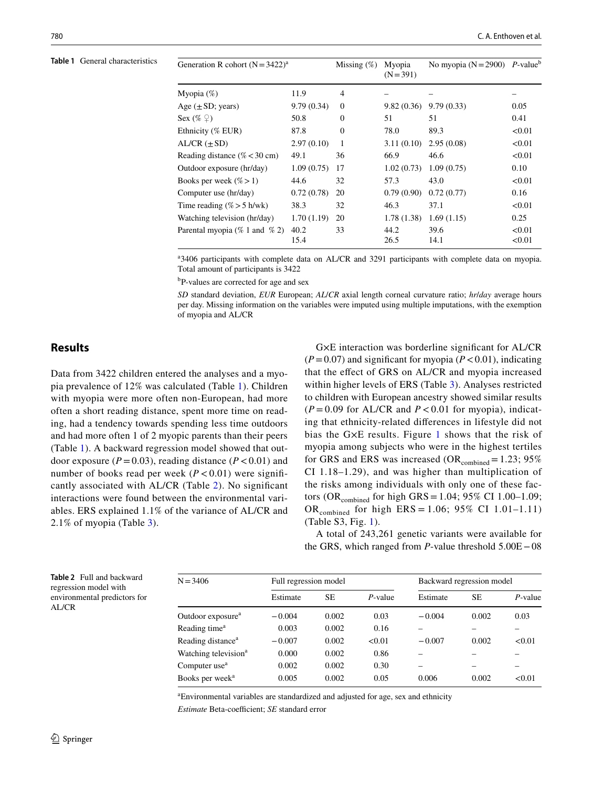<span id="page-3-0"></span>**Table 1** General characteristics

| 780 | C. A. Enthoven et al |
|-----|----------------------|

| Generation R cohort $(N = 3422)^a$         |              | Missing $(\%)$ | Myopia<br>$(N = 391)$ | No myopia ( $N = 2900$ ) P-value <sup>b</sup> |                  |  |
|--------------------------------------------|--------------|----------------|-----------------------|-----------------------------------------------|------------------|--|
| Myopia $(\%)$                              | 11.9         | $\overline{4}$ |                       |                                               |                  |  |
| Age $(\pm SD; \text{years})$               | 9.79(0.34)   | $\theta$       | 9.82(0.36)            | 9.79(0.33)                                    | 0.05             |  |
| Sex $(\% \varphi)$                         | 50.8         | $\overline{0}$ | 51                    | 51                                            | 0.41             |  |
| Ethnicity (% EUR)                          | 87.8         | $\Omega$       | 78.0                  | 89.3                                          | < 0.01           |  |
| $AL/CR$ ( $\pm SD$ )                       | 2.97(0.10)   | $\overline{1}$ | 3.11(0.10)            | 2.95(0.08)                                    | < 0.01           |  |
| Reading distance ( $\%$ < 30 cm)           | 49.1         | 36             | 66.9                  | 46.6                                          | < 0.01           |  |
| Outdoor exposure (hr/day)                  | 1.09(0.75)   | 17             | 1.02(0.73)            | 1.09(0.75)                                    | 0.10             |  |
| Books per week $(\% > 1)$                  | 44.6         | 32             | 57.3                  | 43.0                                          | < 0.01           |  |
| Computer use (hr/day)                      | 0.72(0.78)   | 20             | 0.79(0.90)            | 0.72(0.77)                                    | 0.16             |  |
| Time reading $(\% > 5 \text{ h/wk})$       | 38.3         | 32             | 46.3                  | 37.1                                          | < 0.01           |  |
| Watching television (hr/day)               | 1.70(1.19)   | 20             | 1.78(1.38)            | 1.69(1.15)                                    | 0.25             |  |
| Parental myopia $(\% 1 \text{ and } \% 2)$ | 40.2<br>15.4 | 33             | 44.2<br>26.5          | 39.6<br>14.1                                  | < 0.01<br>< 0.01 |  |

<sup>a</sup>3406 participants with complete data on AL/CR and 3291 participants with complete data on myopia. Total amount of participants is 3422

b P-values are corrected for age and sex

*SD* standard deviation, *EUR* European; *AL*/*CR* axial length corneal curvature ratio; *hr*/*day* average hours per day. Missing information on the variables were imputed using multiple imputations, with the exemption of myopia and AL/CR

## **Results**

Data from 3422 children entered the analyses and a myopia prevalence of 12% was calculated (Table [1](#page-3-0)). Children with myopia were more often non-European, had more often a short reading distance, spent more time on reading, had a tendency towards spending less time outdoors and had more often 1 of 2 myopic parents than their peers (Table [1\)](#page-3-0). A backward regression model showed that outdoor exposure ( $P = 0.03$ ), reading distance ( $P < 0.01$ ) and number of books read per week  $(P < 0.01)$  were significantly associated with AL/CR (Table [2](#page-3-1)). No signifcant interactions were found between the environmental variables. ERS explained 1.1% of the variance of AL/CR and 2.1% of myopia (Table [3\)](#page-4-0).

G×E interaction was borderline signifcant for AL/CR  $(P=0.07)$  and significant for myopia  $(P<0.01)$ , indicating that the efect of GRS on AL/CR and myopia increased within higher levels of ERS (Table [3\)](#page-4-0). Analyses restricted to children with European ancestry showed similar results  $(P = 0.09$  for AL/CR and  $P < 0.01$  for myopia), indicating that ethnicity-related diferences in lifestyle did not bias the G $\times$ E results. Figure [1](#page-4-1) shows that the risk of myopia among subjects who were in the highest tertiles for GRS and ERS was increased (OR<sub>combined</sub>=1.23; 95%) CI 1.18–1.29), and was higher than multiplication of the risks among individuals with only one of these factors (OR<sub>combined</sub> for high GRS = 1.04; 95% CI 1.00–1.09; OR<sub>combined</sub> for high ERS = 1.06; 95% CI 1.01-1.11) (Table S3, Fig. [1](#page-4-1)).

A total of 243,261 genetic variants were available for the GRS, which ranged from *P*-value threshold 5.00E−08

<span id="page-3-1"></span>**Table 2** Full and backward regression model with environmental predictors for AL/CR

| $N = 3406$                       | Full regression model |           |            | Backward regression model |           |            |
|----------------------------------|-----------------------|-----------|------------|---------------------------|-----------|------------|
|                                  | Estimate              | <b>SE</b> | $P$ -value | Estimate                  | <b>SE</b> | $P$ -value |
| Outdoor exposure <sup>a</sup>    | $-0.004$              | 0.002     | 0.03       | $-0.004$                  | 0.002     | 0.03       |
| Reading time <sup>a</sup>        | 0.003                 | 0.002     | 0.16       |                           |           |            |
| Reading distance <sup>a</sup>    | $-0.007$              | 0.002     | < 0.01     | $-0.007$                  | 0.002     | < 0.01     |
| Watching television <sup>a</sup> | 0.000                 | 0.002     | 0.86       |                           |           |            |
| Computer use <sup>a</sup>        | 0.002                 | 0.002     | 0.30       |                           |           |            |
| Books per week <sup>a</sup>      | 0.005                 | 0.002     | 0.05       | 0.006                     | 0.002     | < 0.01     |

a Environmental variables are standardized and adjusted for age, sex and ethnicity

*Estimate* Beta-coefficient; *SE* standard error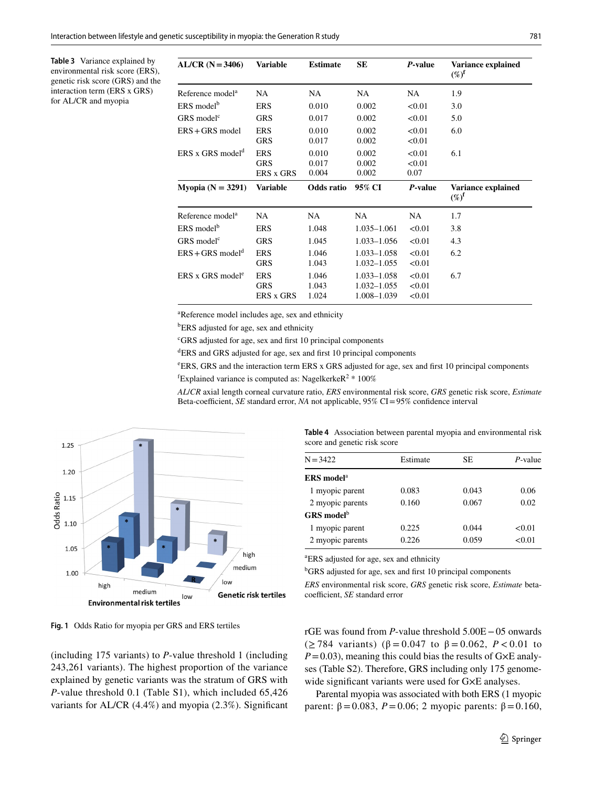<span id="page-4-0"></span>**Table 3** Variance explained by environmental risk score (ERS), genetic risk score (GRS) and the interaction term (ERS x GRS) for AL/CR and myopia

| $AL/CR (N = 3406)$           | <b>Variable</b>                       | <b>Estimate</b>         | SE                                                | P-value                    | Variance explained<br>$(\%)^f$            |
|------------------------------|---------------------------------------|-------------------------|---------------------------------------------------|----------------------------|-------------------------------------------|
| Reference model <sup>a</sup> | NA.                                   | NA.                     | NA.                                               | NA.                        | 1.9                                       |
| $ERS \text{ model}^b$        | ERS                                   | 0.010                   | 0.002                                             | < 0.01                     | 3.0                                       |
| $GRS \text{ model}^c$        | <b>GRS</b>                            | 0.017                   | 0.002                                             | < 0.01                     | 5.0                                       |
| $ERS + GRS \text{ model}$    | <b>ERS</b><br>GRS                     | 0.010<br>0.017          | 0.002<br>0.002                                    | < 0.01<br>< 0.01           | 6.0                                       |
| ERS x GRS model <sup>d</sup> | <b>ERS</b><br><b>GRS</b><br>ERS x GRS | 0.010<br>0.017<br>0.004 | 0.002<br>0.002<br>0.002                           | < 0.01<br>< 0.01<br>0.07   | 6.1                                       |
| Myopia $(N = 3291)$          | <b>Variable</b>                       | Odds ratio              | 95% CI                                            | P-value                    | Variance explained<br>$(\%)^{\mathrm{f}}$ |
| Reference model <sup>a</sup> | NA.                                   | NA.                     | NA.                                               | NA                         | 1.7                                       |
| $ERS \text{ model}^b$        | ERS                                   | 1.048                   | $1.035 - 1.061$                                   | < 0.01                     | 3.8                                       |
| GRS model <sup>c</sup>       | <b>GRS</b>                            | 1.045                   | $1.033 - 1.056$                                   | < 0.01                     | 4.3                                       |
| $ERS + GRS \text{ model}^d$  | <b>ERS</b><br><b>GRS</b>              | 1.046<br>1.043          | $1.033 - 1.058$<br>1.032-1.055                    | < 0.01<br>< 0.01           | 6.2                                       |
| ERS x GRS model <sup>e</sup> | <b>ERS</b><br><b>GRS</b><br>ERS x GRS | 1.046<br>1.043<br>1.024 | $1.033 - 1.058$<br>$1.032 - 1.055$<br>1.008–1.039 | < 0.01<br>< 0.01<br>< 0.01 | 6.7                                       |

a Reference model includes age, sex and ethnicity

<sup>b</sup>ERS adjusted for age, sex and ethnicity

c GRS adjusted for age, sex and frst 10 principal components

d ERS and GRS adjusted for age, sex and frst 10 principal components

e ERS, GRS and the interaction term ERS x GRS adjusted for age, sex and frst 10 principal components

<sup>f</sup>Explained variance is computed as: Nagelkerke $R^2 * 100\%$ 

*AL*/*CR* axial length corneal curvature ratio, *ERS* environmental risk score, *GRS* genetic risk score, *Estimate* Beta-coefficient, *SE* standard error, *NA* not applicable, 95% CI=95% confidence interval



<span id="page-4-2"></span>**Table 4** Association between parental myopia and environmental risk score and genetic risk score

| $N = 3422$                    | Estimate | SE    | P-value |
|-------------------------------|----------|-------|---------|
| ERS model <sup>a</sup>        |          |       |         |
| 1 myopic parent               | 0.083    | 0.043 | 0.06    |
| 2 myopic parents              | 0.160    | 0.067 | 0.02    |
| <b>GRS</b> model <sup>b</sup> |          |       |         |
| 1 myopic parent               | 0.225    | 0.044 | < 0.01  |
| 2 myopic parents              | 0.226    | 0.059 | < 0.01  |

a ERS adjusted for age, sex and ethnicity

<sup>b</sup>GRS adjusted for age, sex and first 10 principal components

*ERS* environmental risk score, *GRS* genetic risk score, *Estimate* betacoefficient, *SE* standard error

<span id="page-4-1"></span>**Fig. 1** Odds Ratio for myopia per GRS and ERS tertiles

(including 175 variants) to *P*-value threshold 1 (including 243,261 variants). The highest proportion of the variance explained by genetic variants was the stratum of GRS with *P*-value threshold 0.1 (Table S1), which included 65,426 variants for AL/CR (4.4%) and myopia (2.3%). Signifcant rGE was found from *P*-value threshold 5.00E−05 onwards ( $≥ 784$  variants) ( $β = 0.047$  to  $β = 0.062$ ,  $P < 0.01$  to  $P=0.03$ ), meaning this could bias the results of G×E analyses (Table S2). Therefore, GRS including only 175 genomewide significant variants were used for G×E analyses.

Parental myopia was associated with both ERS (1 myopic parent:  $β = 0.083$ ,  $P = 0.06$ ; 2 myopic parents:  $β = 0.160$ ,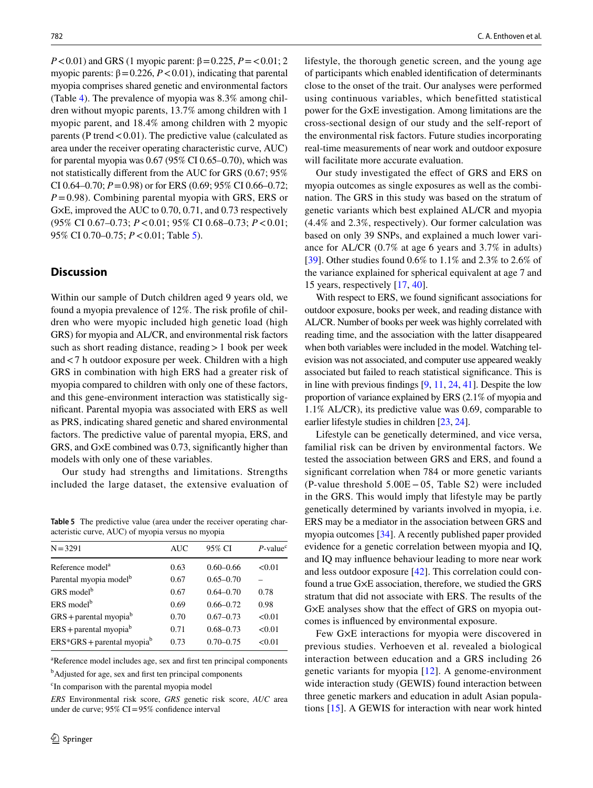*P*<0.01) and GRS (1 myopic parent:  $β = 0.225, P = 0.01; 2$ myopic parents:  $\beta = 0.226$ ,  $P < 0.01$ ), indicating that parental myopia comprises shared genetic and environmental factors (Table [4\)](#page-4-2). The prevalence of myopia was 8.3% among children without myopic parents, 13.7% among children with 1 myopic parent, and 18.4% among children with 2 myopic parents (P trend  $< 0.01$ ). The predictive value (calculated as area under the receiver operating characteristic curve, AUC) for parental myopia was 0.67 (95% CI 0.65–0.70), which was not statistically diferent from the AUC for GRS (0.67; 95% CI 0.64–0.70; *P*=0.98) or for ERS (0.69; 95% CI 0.66–0.72; *P*=0.98). Combining parental myopia with GRS, ERS or G×E, improved the AUC to 0.70, 0.71, and 0.73 respectively (95% CI 0.67–0.73; *P*<0.01; 95% CI 0.68–0.73; *P*<0.01; 95% CI 0.70–0.75; *P*<0.01; Table [5](#page-5-0)).

# **Discussion**

Within our sample of Dutch children aged 9 years old, we found a myopia prevalence of 12%. The risk profle of children who were myopic included high genetic load (high GRS) for myopia and AL/CR, and environmental risk factors such as short reading distance, reading > 1 book per week and<7 h outdoor exposure per week. Children with a high GRS in combination with high ERS had a greater risk of myopia compared to children with only one of these factors, and this gene-environment interaction was statistically signifcant. Parental myopia was associated with ERS as well as PRS, indicating shared genetic and shared environmental factors. The predictive value of parental myopia, ERS, and GRS, and G $\times$ E combined was 0.73, significantly higher than models with only one of these variables.

Our study had strengths and limitations. Strengths included the large dataset, the extensive evaluation of

<span id="page-5-0"></span>**Table 5** The predictive value (area under the receiver operating characteristic curve, AUC) of myopia versus no myopia

| $N = 3291$                               | <b>AUC</b> | 95% CI        | $P$ -value <sup>c</sup> |
|------------------------------------------|------------|---------------|-------------------------|
| Reference model <sup>a</sup>             | 0.63       | $0.60 - 0.66$ | < 0.01                  |
| Parental myopia model <sup>b</sup>       | 0.67       | $0.65 - 0.70$ |                         |
| GRS model <sup>b</sup>                   | 0.67       | $0.64 - 0.70$ | 0.78                    |
| ERS model <sup>b</sup>                   | 0.69       | $0.66 - 0.72$ | 0.98                    |
| $GRS +$ parental myopia <sup>b</sup>     | 0.70       | $0.67 - 0.73$ | < 0.01                  |
| $ERS + parental$ myopia <sup>b</sup>     | 0.71       | $0.68 - 0.73$ | < 0.01                  |
| $ERS*GRS + parental$ myopia <sup>b</sup> | 0.73       | $0.70 - 0.75$ | < 0.01                  |
|                                          |            |               |                         |

a Reference model includes age, sex and frst ten principal components

<sup>b</sup>Adjusted for age, sex and first ten principal components

c In comparison with the parental myopia model

*ERS* Environmental risk score, *GRS* genetic risk score, *AUC* area under de curve; 95% CI=95% confdence interval

lifestyle, the thorough genetic screen, and the young age of participants which enabled identifcation of determinants close to the onset of the trait. Our analyses were performed using continuous variables, which benefitted statistical power for the G×E investigation. Among limitations are the cross-sectional design of our study and the self-report of the environmental risk factors. Future studies incorporating real-time measurements of near work and outdoor exposure will facilitate more accurate evaluation.

Our study investigated the efect of GRS and ERS on myopia outcomes as single exposures as well as the combination. The GRS in this study was based on the stratum of genetic variants which best explained AL/CR and myopia (4.4% and 2.3%, respectively). Our former calculation was based on only 39 SNPs, and explained a much lower variance for AL/CR (0.7% at age 6 years and 3.7% in adults) [[39\]](#page-7-22). Other studies found 0.6% to 1.1% and 2.3% to 2.6% of the variance explained for spherical equivalent at age 7 and 15 years, respectively [[17](#page-7-0), [40](#page-7-23)].

With respect to ERS, we found signifcant associations for outdoor exposure, books per week, and reading distance with AL/CR. Number of books per week was highly correlated with reading time, and the association with the latter disappeared when both variables were included in the model. Watching television was not associated, and computer use appeared weakly associated but failed to reach statistical signifcance. This is in line with previous fndings [\[9](#page-6-8), [11,](#page-6-9) [24](#page-7-7), [41\]](#page-7-24). Despite the low proportion of variance explained by ERS (2.1% of myopia and 1.1% AL/CR), its predictive value was 0.69, comparable to earlier lifestyle studies in children [[23](#page-7-6), [24\]](#page-7-7).

Lifestyle can be genetically determined, and vice versa, familial risk can be driven by environmental factors. We tested the association between GRS and ERS, and found a signifcant correlation when 784 or more genetic variants (P-value threshold 5.00E −05, Table S2) were included in the GRS. This would imply that lifestyle may be partly genetically determined by variants involved in myopia, i.e. ERS may be a mediator in the association between GRS and myopia outcomes [[34\]](#page-7-17). A recently published paper provided evidence for a genetic correlation between myopia and IQ, and IQ may infuence behaviour leading to more near work and less outdoor exposure [\[42](#page-7-25)]. This correlation could confound a true G×E association, therefore, we studied the GRS stratum that did not associate with ERS. The results of the G×E analyses show that the effect of GRS on myopia outcomes is infuenced by environmental exposure.

Few G×E interactions for myopia were discovered in previous studies. Verhoeven et al. revealed a biological interaction between education and a GRS including 26 genetic variants for myopia [[12\]](#page-6-10). A genome-environment wide interaction study (GEWIS) found interaction between three genetic markers and education in adult Asian populations [[15\]](#page-6-11). A GEWIS for interaction with near work hinted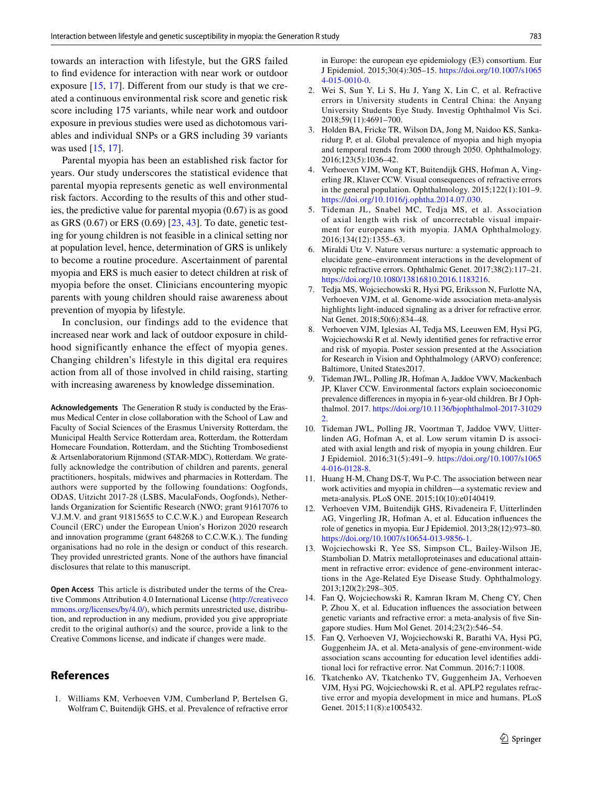towards an interaction with lifestyle, but the GRS failed to fnd evidence for interaction with near work or outdoor exposure [[15,](#page-6-11) [17](#page-7-0)]. Diferent from our study is that we created a continuous environmental risk score and genetic risk score including 175 variants, while near work and outdoor exposure in previous studies were used as dichotomous variables and individual SNPs or a GRS including 39 variants was used  $[15, 17]$  $[15, 17]$  $[15, 17]$  $[15, 17]$ .

Parental myopia has been an established risk factor for years. Our study underscores the statistical evidence that parental myopia represents genetic as well environmental risk factors. According to the results of this and other studies, the predictive value for parental myopia (0.67) is as good as GRS (0.67) or ERS (0.69) [\[23](#page-7-6), [43](#page-7-26)]. To date, genetic testing for young children is not feasible in a clinical setting nor at population level, hence, determination of GRS is unlikely to become a routine procedure. Ascertainment of parental myopia and ERS is much easier to detect children at risk of myopia before the onset. Clinicians encountering myopic parents with young children should raise awareness about prevention of myopia by lifestyle.

In conclusion, our findings add to the evidence that increased near work and lack of outdoor exposure in childhood significantly enhance the effect of myopia genes. Changing children's lifestyle in this digital era requires action from all of those involved in child raising, starting with increasing awareness by knowledge dissemination.

**Acknowledgements** The Generation R study is conducted by the Erasmus Medical Center in close collaboration with the School of Law and Faculty of Social Sciences of the Erasmus University Rotterdam, the Municipal Health Service Rotterdam area, Rotterdam, the Rotterdam Homecare Foundation, Rotterdam, and the Stichting Trombosedienst & Artsenlaboratorium Rijnmond (STAR-MDC), Rotterdam. We gratefully acknowledge the contribution of children and parents, general practitioners, hospitals, midwives and pharmacies in Rotterdam. The authors were supported by the following foundations: Oogfonds, ODAS, Uitzicht 2017-28 (LSBS, MaculaFonds, Oogfonds), Netherlands Organization for Scientifc Research (NWO; grant 91617076 to V.J.M.V. and grant 91815655 to C.C.W.K.) and European Research Council (ERC) under the European Union's Horizon 2020 research and innovation programme (grant 648268 to C.C.W.K.). The funding organisations had no role in the design or conduct of this research. They provided unrestricted grants. None of the authors have fnancial disclosures that relate to this manuscript.

**Open Access** This article is distributed under the terms of the Creative Commons Attribution 4.0 International License [\(http://creativeco](http://creativecommons.org/licenses/by/4.0/) [mmons.org/licenses/by/4.0/](http://creativecommons.org/licenses/by/4.0/)), which permits unrestricted use, distribution, and reproduction in any medium, provided you give appropriate credit to the original author(s) and the source, provide a link to the Creative Commons license, and indicate if changes were made.

# **References**

<span id="page-6-0"></span>1. Williams KM, Verhoeven VJM, Cumberland P, Bertelsen G, Wolfram C, Buitendijk GHS, et al. Prevalence of refractive error in Europe: the european eye epidemiology (E3) consortium. Eur J Epidemiol. 2015;30(4):305–15. [https://doi.org/10.1007/s1065](https://doi.org/10.1007/s10654-015-0010-0) [4-015-0010-0](https://doi.org/10.1007/s10654-015-0010-0).

- <span id="page-6-1"></span>2. Wei S, Sun Y, Li S, Hu J, Yang X, Lin C, et al. Refractive errors in University students in Central China: the Anyang University Students Eye Study. Investig Ophthalmol Vis Sci. 2018;59(11):4691–700.
- <span id="page-6-2"></span>3. Holden BA, Fricke TR, Wilson DA, Jong M, Naidoo KS, Sankaridurg P, et al. Global prevalence of myopia and high myopia and temporal trends from 2000 through 2050. Ophthalmology. 2016;123(5):1036–42.
- <span id="page-6-3"></span>4. Verhoeven VJM, Wong KT, Buitendijk GHS, Hofman A, Vingerling JR, Klaver CCW. Visual consequences of refractive errors in the general population. Ophthalmology. 2015;122(1):101–9. [https://doi.org/10.1016/j.ophtha.2014.07.030.](https://doi.org/10.1016/j.ophtha.2014.07.030)
- <span id="page-6-4"></span>5. Tideman JL, Snabel MC, Tedja MS, et al. Association of axial length with risk of uncorrectable visual impairment for europeans with myopia. JAMA Ophthalmology. 2016;134(12):1355–63.
- <span id="page-6-5"></span>Miraldi Utz V. Nature versus nurture: a systematic approach to elucidate gene–environment interactions in the development of myopic refractive errors. Ophthalmic Genet. 2017;38(2):117–21. <https://doi.org/10.1080/13816810.2016.1183216>.
- <span id="page-6-6"></span>7. Tedja MS, Wojciechowski R, Hysi PG, Eriksson N, Furlotte NA, Verhoeven VJM, et al. Genome-wide association meta-analysis highlights light-induced signaling as a driver for refractive error. Nat Genet. 2018;50(6):834–48.
- <span id="page-6-7"></span>8. Verhoeven VJM, Iglesias AI, Tedja MS, Leeuwen EM, Hysi PG, Wojciechowski R et al. Newly identifed genes for refractive error and risk of myopia. Poster session presented at the Association for Research in Vision and Ophthalmology (ARVO) conference; Baltimore, United States2017.
- <span id="page-6-8"></span>9. Tideman JWL, Polling JR, Hofman A, Jaddoe VWV, Mackenbach JP, Klaver CCW. Environmental factors explain socioeconomic prevalence diferences in myopia in 6-year-old children. Br J Ophthalmol. 2017. [https://doi.org/10.1136/bjophthalmol-2017-31029](https://doi.org/10.1136/bjophthalmol-2017-310292) [2](https://doi.org/10.1136/bjophthalmol-2017-310292).
- 10. Tideman JWL, Polling JR, Voortman T, Jaddoe VWV, Uitterlinden AG, Hofman A, et al. Low serum vitamin D is associated with axial length and risk of myopia in young children. Eur J Epidemiol. 2016;31(5):491–9. [https://doi.org/10.1007/s1065](https://doi.org/10.1007/s10654-016-0128-8) [4-016-0128-8](https://doi.org/10.1007/s10654-016-0128-8).
- <span id="page-6-9"></span>11. Huang H-M, Chang DS-T, Wu P-C. The association between near work activities and myopia in children—a systematic review and meta-analysis. PLoS ONE. 2015;10(10):e0140419.
- <span id="page-6-10"></span>12. Verhoeven VJM, Buitendijk GHS, Rivadeneira F, Uitterlinden AG, Vingerling JR, Hofman A, et al. Education infuences the role of genetics in myopia. Eur J Epidemiol. 2013;28(12):973–80. <https://doi.org/10.1007/s10654-013-9856-1>.
- <span id="page-6-12"></span>13. Wojciechowski R, Yee SS, Simpson CL, Bailey-Wilson JE, Stambolian D. Matrix metalloproteinases and educational attainment in refractive error: evidence of gene-environment interactions in the Age-Related Eye Disease Study. Ophthalmology. 2013;120(2):298–305.
- <span id="page-6-13"></span>14. Fan Q, Wojciechowski R, Kamran Ikram M, Cheng CY, Chen P, Zhou X, et al. Education infuences the association between genetic variants and refractive error: a meta-analysis of fve Singapore studies. Hum Mol Genet. 2014;23(2):546–54.
- <span id="page-6-11"></span>15. Fan Q, Verhoeven VJ, Wojciechowski R, Barathi VA, Hysi PG, Guggenheim JA, et al. Meta-analysis of gene-environment-wide association scans accounting for education level identifes additional loci for refractive error. Nat Commun. 2016;7:11008.
- <span id="page-6-14"></span>16. Tkatchenko AV, Tkatchenko TV, Guggenheim JA, Verhoeven VJM, Hysi PG, Wojciechowski R, et al. APLP2 regulates refractive error and myopia development in mice and humans. PLoS Genet. 2015;11(8):e1005432.